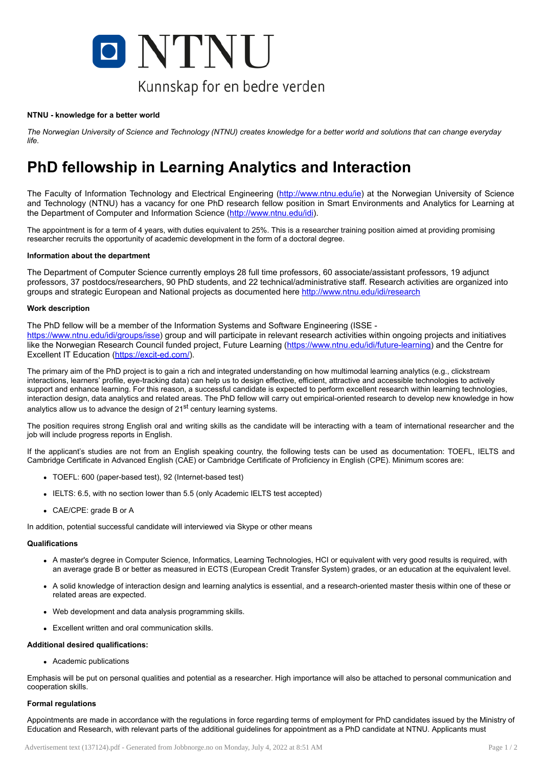

#### NTNU - knowledge for a better world

The Norwegian University of Science and Technology (NTNU) creates knowledge for a better world and solutions that can change everyday *life.*

# PhD fellowship in Learning Analytics and Interaction

The Faculty of Information Technology and Electrical Engineering ([http://www.ntnu.edu/ie\)](http://www.ntnu.edu/ie) at the Norwegian University of Science and Technology (NTNU) has a vacancy for one PhD research fellow position in Smart Environments and Analytics for Learning at the Department of Computer and Information Science [\(http://www.ntnu.edu/idi](http://www.ntnu.edu/idi)).

The appointment is for a term of 4 years, with duties equivalent to 25%. This is a researcher training position aimed at providing promising researcher recruits the opportunity of academic development in the form of a doctoral degree.

## Information about the department

The Department of Computer Science currently employs 28 full time professors, 60 associate/assistant professors, 19 adjunct professors, 37 postdocs/researchers, 90 PhD students, and 22 technical/administrative staff. Research activities are organized into groups and strategic European and National projects as documented here <http://www.ntnu.edu/idi/research>

## Work description

The PhD fellow will be a member of the Information Systems and Software Engineering (ISSE -

<https://www.ntnu.edu/idi/groups/isse>) group and will participate in relevant research activities within ongoing projects and initiatives like the Norwegian Research Council funded project, Future Learning [\(https://www.ntnu.edu/idi/future-learning](https://www.ntnu.edu/idi/future-learning)) and the Centre for Excellent IT Education [\(https://excit-ed.com/\)](https://excit-ed.com/).

The primary aim of the PhD project is to gain a rich and integrated understanding on how multimodal learning analytics (e.g., clickstream interactions, learners' profile, eye-tracking data) can help us to design effective, efficient, attractive and accessible technologies to actively support and enhance learning. For this reason, a successful candidate is expected to perform excellent research within learning technologies, interaction design, data analytics and related areas. The PhD fellow will carry out empirical-oriented research to develop new knowledge in how analytics allow us to advance the design of 21<sup>st</sup> century learning systems.

The position requires strong English oral and writing skills as the candidate will be interacting with a team of international researcher and the job will include progress reports in English.

If the applicant's studies are not from an English speaking country, the following tests can be used as documentation: TOEFL, IELTS and Cambridge Certificate in Advanced English (CAE) or Cambridge Certificate of Proficiency in English (CPE). Minimum scores are:

- TOEFL: 600 (paper-based test), 92 (Internet-based test)
- IELTS: 6.5, with no section lower than 5.5 (only Academic IELTS test accepted)
- CAE/CPE: grade B or A

In addition, potential successful candidate will interviewed via Skype or other means

## **Qualifications**

- A master's degree in Computer Science, Informatics, Learning Technologies, HCI or equivalent with very good results is required, with an average grade B or better as measured in ECTS (European Credit Transfer System) grades, or an education at the equivalent level.
- A solid knowledge of interaction design and learning analytics is essential, and a research-oriented master thesis within one of these or related areas are expected.
- Web development and data analysis programming skills.
- Excellent written and oral communication skills.

#### Additional desired qualifications:

Academic publications

Emphasis will be put on personal qualities and potential as a researcher. High importance will also be attached to personal communication and cooperation skills.

#### Formal regulations

Appointments are made in accordance with the regulations in force regarding terms of employment for PhD candidates issued by the Ministry of Education and Research, with relevant parts of the additional guidelines for appointment as a PhD candidate at NTNU. Applicants must